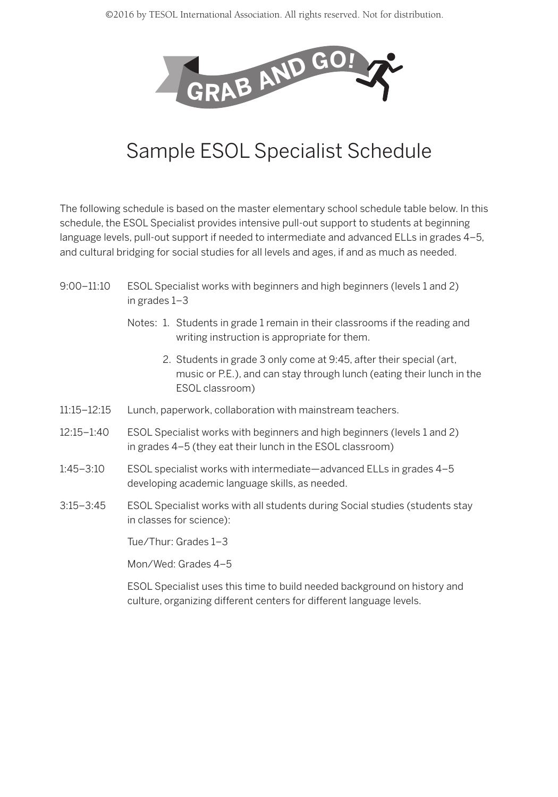

## Sample ESOL Specialist Schedule

The following schedule is based on the master elementary school schedule table below. In this schedule, the ESOL Specialist provides intensive pull-out support to students at beginning language levels, pull-out support if needed to intermediate and advanced ELLs in grades 4–5, and cultural bridging for social studies for all levels and ages, if and as much as needed.

- 9:00–11:10 ESOL Specialist works with beginners and high beginners (levels 1 and 2) in grades 1–3
	- Notes: 1. Students in grade 1 remain in their classrooms if the reading and writing instruction is appropriate for them.
		- 2. Students in grade 3 only come at 9:45, after their special (art, music or P.E.), and can stay through lunch (eating their lunch in the ESOL classroom)
- 11:15–12:15 Lunch, paperwork, collaboration with mainstream teachers.
- 12:15–1:40 ESOL Specialist works with beginners and high beginners (levels 1 and 2) in grades 4–5 (they eat their lunch in the ESOL classroom)
- 1:45–3:10 ESOL specialist works with intermediate—advanced ELLs in grades 4–5 developing academic language skills, as needed.
- 3:15–3:45 ESOL Specialist works with all students during Social studies (students stay in classes for science):

Tue/Thur: Grades 1–3

Mon/Wed: Grades 4–5

ESOL Specialist uses this time to build needed background on history and culture, organizing different centers for different language levels.